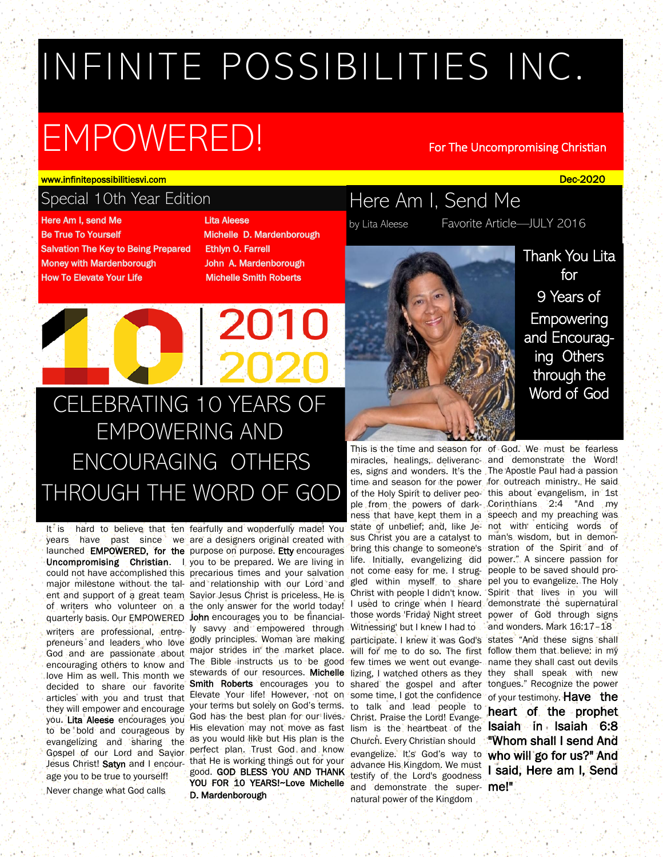# INFINITE POSSIBILITIES INC.

# EMPOWERED! For The Uncompromising Christian

Here Am I, Send Me

by Lita Aleese Favorite Article—JULY 2016

www.infinitepossibilitiesvi.com in the control of the control of the control of the control of the control of the control of the control of the control of the control of the control of the control of the control of the con

# Special 10th Year Edition

Here Am I, send Me **Be True To Yourself Salvation The Key to Being Prepared Money with Mardenborough How To Elevate Your Life** 

# **Lita Aleese**

Michelle D. Mardenborough **Ethlyn O. Farrell** John A. Mardenborough **Michelle Smith Roberts** 

# CELEBRATING 10 YEARS OF EMPOWERING AND ENCOURAGING OTHERS THROUGH THE WORD OF GOD

they will empower and encourage to be bold and courageous by age you to be true to yourself!

Never change what God calls

articles with you and trust that Elevate Your life! However, not on some time, I got the confidence His elevation may not move as fast lism is the heartbeat of the **Isaiah in Isaiah 6:8** It is hard to believe that ten fearfully and wonderfully made! You years have past since we are a designers original created with launched **EMPOWERED, for the** purpose on purpose. Etty encourages Uncompromising Christian. I you to be prepared. We are living in could not have accomplished this precarious times and your salvation major milestone without the tal-and relationship with our Lord and ent and support of a great team Savior Jesus Christ is priceless. He is of writers who volunteer on a the only answer for the world today! quarterly basis. Our EMPOWERED John encourages you to be financialwriters are professional, entre-ly savvy and empowered through preneurs and leaders who love godly principles. Woman are making God and are passionate about major strides in the market place. encouraging others to know and The Bible instructs us to be good love Him as well. This month we stewards of our resources. Michelle decided to share our favorite Smith Roberts encourages you to you. Lita Aleese encourages you God has the best plan for our lives. evangelizing and sharing the as you would like but His plan is the Gospel of our Lord and Savior perfect plan. Trust God and know Jesus Christ! Satyn and I encour-that He is working things out for your your terms but solely on God's terms. good. GOD BLESS YOU AND THANK YOU FOR 10 YEARS!~Love Michelle D. Mardenborough

This is the time and season for of God. We must be fearless miracles, healings, deliveranc-and demonstrate the Word! es, signs and wonders. It's the The Apostle Paul had a passion time and season for the power for outreach ministry. He said of the Holy Spirit to deliver peo-'this about evangelism, in 1st ple from the powers of dark- Corinthians 2:4 "And my ness that have kept them in a speech and my preaching was state of unbelief; and, like Je- not with enticing words of sus Christ you are a catalyst to man's wisdom, but in demonbring this change to someone's stration of the Spirit and of life. Initially, evangelizing did power." A sincere passion for not come easy for me. I strug-people to be saved should progled within myself to share pel you to evangelize. The Holy Christ with people I didn't know. Spirit that lives in you will I used to cringe when I heard demonstrate the supernatural those words 'Friday Night street power of God through signs Witnessing' but I knew I had to participate. I knew it was God's states "And these signs shall will for me to do so. The first follow them that believe: in my few times we went out evange-name they shall cast out devils lizing, I watched others as they they shall speak with new shared the gospel and after tongues." Recognize the power to talk and lead people to Christ. Praise the Lord! Evange-Church. Every Christian should evangelize. It's God's way to who will go for us?" And advance His Kingdom. We must testify of the Lord's goodness and demonstrate the super- me!" natural power of the Kingdom

Thank You Lita for 9 Years of **Empowering** and Encouraging Others through the Word of God

and wonders. Mark 16:17–18 of your testimony. Have the heart of the prophet "Whom shall I send And I said, Here am I, Send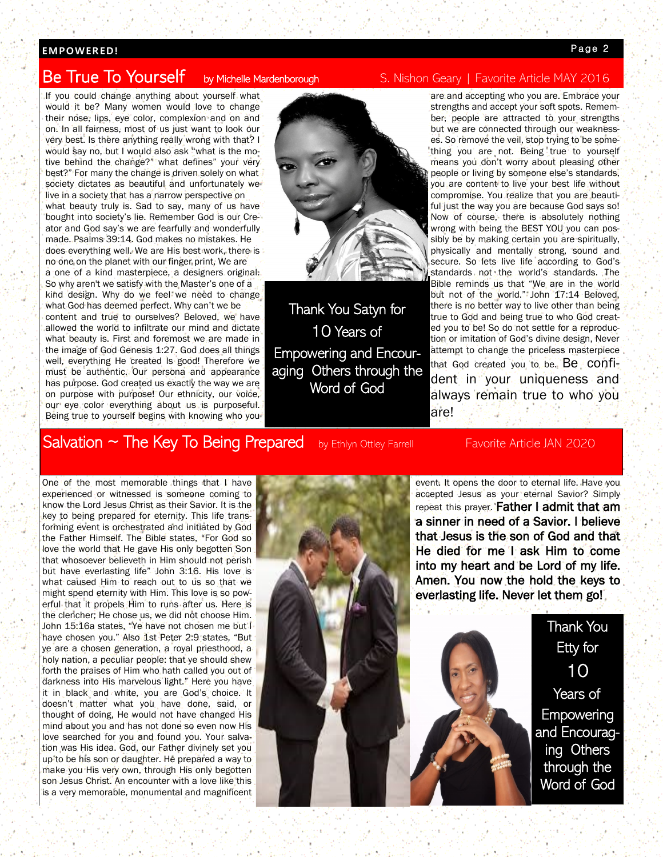# **EMP OW ER ED !**

# **Be True To Yourself**

If you could change anything about yourself what would it be? Many women would love to change their nose, lips, eye color, complexion and on and on. In all fairness, most of us just want to look our very best. Is there anything really wrong with that? I would say no, but I would also ask "what is the motive behind the change?" what defines" your very best?" For many the change is driven solely on what society dictates as beautiful and unfortunately we live in a society that has a narrow perspective on what beauty truly is. Sad to say, many of us have bought into society's lie. Remember God is our Creator and God say's we are fearfully and wonderfully made. Psalms 39:14. God makes no mistakes. He does everything well. We are His best work, there is no one on the planet with our finger print, We are a one of a kind masterpiece, a designers original. So why aren't we satisfy with the Master's one of a kind design. Why do we feel we need to change what God has deemed perfect. Why can't we be content and true to ourselves? Beloved, we have allowed the world to infiltrate our mind and dictate what beauty is. First and foremost we are made in the image of God Genesis 1:27. God does all things well, everything He created Is good! Therefore we must be authentic. Our persona and appearance has purpose. God created us exactly the way we are on purpose with purpose! Our ethnicity, our voice, our eye color everything about us is purposeful. Being true to yourself begins with knowing who you



Thank You Satyn for 10 Years of Empowering and Encouraging Others through the Word of God

# by Michelle Mardenborough S. Nishon Geary | Favorite Article MAY 2016

are and accepting who you are. Embrace your strengths and accept your soft spots. Remember, people are attracted to your strengths but we are connected through our weaknesses. So remove the veil, stop trying to be something you are not. Being true to yourself means you don't worry about pleasing other people or living by someone else's standards, you are content to live your best life without compromise. You realize that you are beautiful just the way you are because God says so! Now of course, there is absolutely nothing wrong with being the BEST YOU you can possibly be by making certain you are spiritually, physically and mentally strong, sound and secure. So lets live life according to God's standards not the world's standards. The Bible reminds us that "We are in the world but not of the world." John 17:14 Beloved, there is no better way to live other than being true to God and being true to who God created you to be! So do not settle for a reproduction or imitation of God's divine design, Never attempt to change the priceless masterpiece that God created you to be. Be confident in your uniqueness and always remain true to who you are!

# $Salvation \sim The Key To Being Prepared$  by Ethlyn Ottley Farrell Favorite Article JAN 2020

One of the most memorable things that I have experienced or witnessed is someone coming to know the Lord Jesus Christ as their Savior. It is the key to being prepared for eternity. This life transforming event is orchestrated and initiated by God the Father Himself. The Bible states, "For God so love the world that He gave His only begotten Son that whosoever believeth in Him should not perish but have everlasting life" John 3:16. His love is what caused Him to reach out to us so that we might spend eternity with Him. This love is so powerful that it propels Him to runs after us. Here is the clencher; He chose us, we did not choose Him. John 15:16a states, "Ye have not chosen me but I have chosen you." Also 1st Peter 2:9 states, "But ye are a chosen generation, a royal priesthood, a holy nation, a peculiar people: that ye should shew forth the praises of Him who hath called you out of darkness into His marvelous light." Here you have it in black and white, you are God's choice. It doesn't matter what you have done, said, or thought of doing, He would not have changed His mind about you and has not done so even now His love searched for you and found you. Your salvation was His idea. God, our Father divinely set you up to be his son or daughter. He prepared a way to make you His very own, through His only begotten son Jesus Christ. An encounter with a love like this is a very memorable, monumental and magnificent

event. It opens the door to eternal life. Have you accepted Jesus as your eternal Savior? Simply repeat this prayer. Father I admit that am a sinner in need of a Savior. I believe that Jesus is the son of God and that He died for me I ask Him to come into my heart and be Lord of my life. Amen. You now the hold the keys to everlasting life. Never let them go!



Etty for 10 Years of **Empowering** and Encouraging Others through the Word of God

Thank You

#### **Page 2**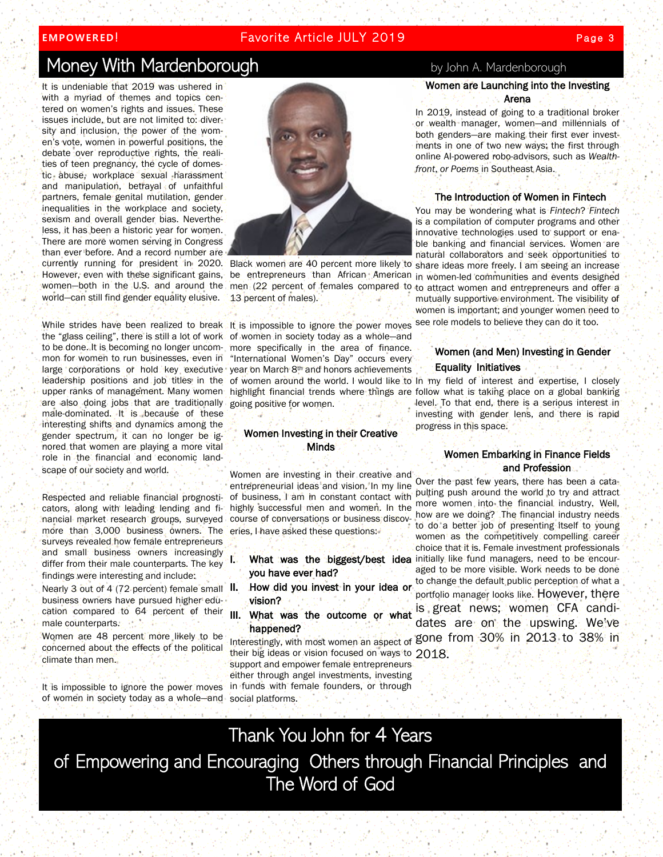# **EMPOWERED!** Favorite Article JULY 2019

# Money With Mardenborough by John A. Mardenborough

It is undeniable that 2019 was ushered in with a myriad of themes and topics centered on women's rights and issues. These issues include, but are not limited to: diversity and inclusion, the power of the women's vote, women in powerful positions, the debate over reproductive rights, the realities of teen pregnancy, the cycle of domestic abuse, workplace sexual harassment and manipulation, betrayal of unfaithful partners, female genital mutilation, gender inequalities in the workplace and society, sexism and overall gender bias. Nevertheless, it has been a historic year for women. There are more women serving in Congress than ever before. And a record number are However, even with these significant gains, women—both in the U.S. and around the men (22 percent of females compared to world—can still find gender equality elusive.

While strides have been realized to break It is impossible to ignore the power moves the "glass ceiling", there is still a lot of work mon for women to run businesses, even in large corporations or hold key executive are also doing jobs that are traditionally male-dominated. It is because of these interesting shifts and dynamics among the gender spectrum, it can no longer be ignored that women are playing a more vital role in the financial and economic landscape of our society and world.

Respected and reliable financial prognosticators, along with leading lending and financial market research groups, surveyed more than 3,000 business owners. The surveys revealed how female entrepreneurs and small business owners increasingly differ from their male counterparts. The key findings were interesting and include:

Nearly 3 out of 4 (72 percent) female small II. business owners have pursued higher education compared to 64 percent of their male counterparts.

Women are 48 percent more likely to be concerned about the effects of the political climate than men.

It is impossible to ignore the power moves of women in society today as a whole—and social platforms.



13 percent of males).

to be done. It is becoming no longer uncom-more specifically in the area of finance. of women in society today as a whole—and "International Women's Day" occurs every year on March 8th and honors achievements going positive for women.

### Women Investing in their Creative **Minds**

Women are investing in their creative and entrepreneurial ideas and vision. In my line of business, I am in constant contact with highly successful men and women. In the course of conversations or business discoveries, I have asked these questions:

- you have ever had?
- How did you invest in your idea or vision?
- III. What was the outcome or what happened?

their big ideas or vision focused on ways to 2018. support and empower female entrepreneurs either through angel investments, investing in funds with female founders, or through

## Women are Launching into the Investing Arena

In 2019, instead of going to a traditional broker or wealth manager, women—and millennials of both genders—are making their first ever investments in one of two new ways: the first through online AI-powered robo-advisors, such as *Wealthfront*, *or Poems* in Southeast Asia.

#### The Introduction of Women in Fintech

You may be wondering what is *Fintech*? *Fintech*  is a compilation of computer programs and other innovative technologies used to support or enable banking and financial services. Women are natural collaborators and seek opportunities to currently running for president in 2020. Black women are 40 percent more likely to share ideas more freely. I am seeing an increase be entrepreneurs than African American in women-led communities and events designed to attract women and entrepreneurs and offer a mutually supportive environment. The visibility of women is important; and younger women need to see role models to believe they can do it too.

## Women (and Men) Investing in Gender Equality Initiatives

leadership positions and job titles in the of women around the world. I would like to in my field of interest and expertise, I closely upper ranks of management. Many women highlight financial trends where things are follow what is taking place on a global banking level. To that end, there is a serious interest in investing with gender lens, and there is rapid progress in this space.

#### Women Embarking in Finance Fields and Profession

Over the past few years, there has been a catapulting push around the world to try and attract more women into the financial industry. Well, how are we doing? The financial industry needs to do a better job of presenting itself to young women as the competitively compelling career choice that it is. Female investment professionals I. What was the biggest/best idea initially like fund managers, need to be encouraged to be more visible. Work needs to be done to change the default public perception of what a portfolio manager looks like. However, there is great news; women CFA candidates are on the upswing. We've Interestingly, with most women an aspect of gone from 30% in 2013 to 38% in

Thank You John for 4 Years of Empowering and Encouraging Others through Financial Principles and The Word of God